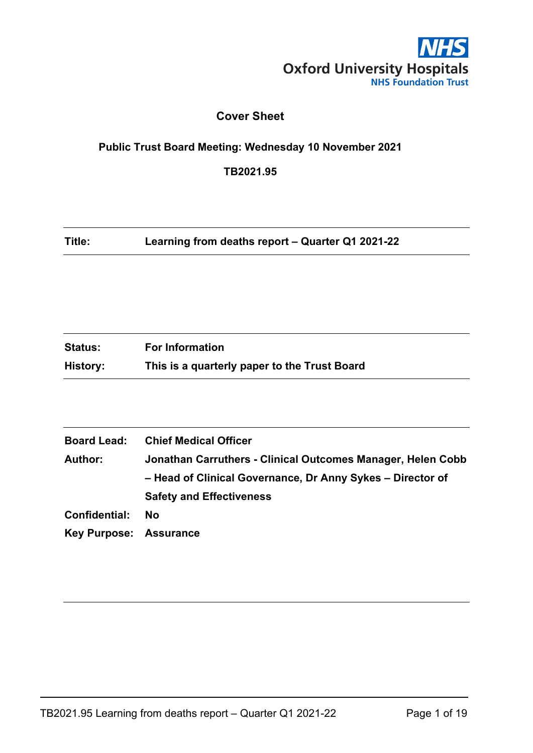

## **Cover Sheet**

# <span id="page-0-0"></span>**Public Trust Board Meeting: Wednesday 10 November 2021**

**TB2021.95**

**Title: Learning from deaths report – Quarter Q1 2021-22**

| <b>Status:</b> | <b>For Information</b>                       |
|----------------|----------------------------------------------|
| History:       | This is a quarterly paper to the Trust Board |

| <b>Board Lead:</b>            | <b>Chief Medical Officer</b>                                |
|-------------------------------|-------------------------------------------------------------|
| <b>Author:</b>                | Jonathan Carruthers - Clinical Outcomes Manager, Helen Cobb |
|                               | - Head of Clinical Governance, Dr Anny Sykes - Director of  |
|                               | <b>Safety and Effectiveness</b>                             |
| Confidential:                 | No                                                          |
| <b>Key Purpose: Assurance</b> |                                                             |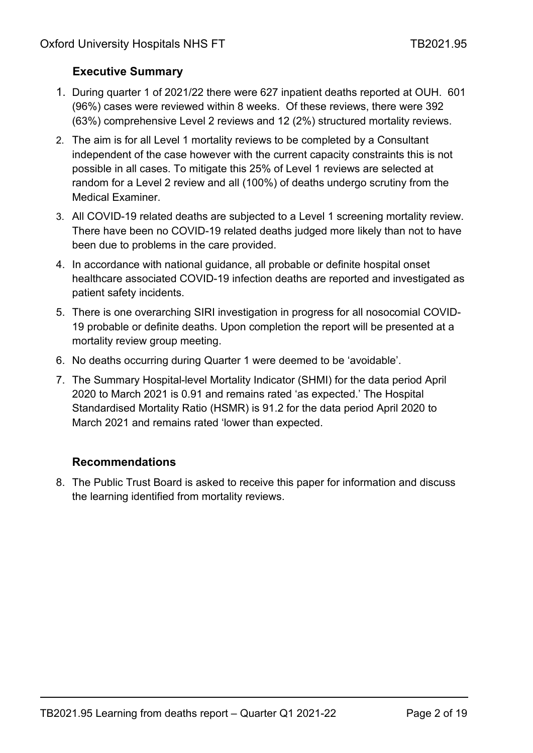# <span id="page-1-0"></span>**Executive Summary**

- 1. During quarter 1 of 2021/22 there were 627 inpatient deaths reported at OUH. 601 (96%) cases were reviewed within 8 weeks. Of these reviews, there were 392 (63%) comprehensive Level 2 reviews and 12 (2%) structured mortality reviews.
- 2. The aim is for all Level 1 mortality reviews to be completed by a Consultant independent of the case however with the current capacity constraints this is not possible in all cases. To mitigate this 25% of Level 1 reviews are selected at random for a Level 2 review and all (100%) of deaths undergo scrutiny from the Medical Examiner.
- 3. All COVID-19 related deaths are subjected to a Level 1 screening mortality review. There have been no COVID-19 related deaths judged more likely than not to have been due to problems in the care provided.
- 4. In accordance with national guidance, all probable or definite hospital onset healthcare associated COVID-19 infection deaths are reported and investigated as patient safety incidents.
- 5. There is one overarching SIRI investigation in progress for all nosocomial COVID-19 probable or definite deaths. Upon completion the report will be presented at a mortality review group meeting.
- 6. No deaths occurring during Quarter 1 were deemed to be 'avoidable'.
- 7. The Summary Hospital-level Mortality Indicator (SHMI) for the data period April 2020 to March 2021 is 0.91 and remains rated 'as expected.' The Hospital Standardised Mortality Ratio (HSMR) is 91.2 for the data period April 2020 to March 2021 and remains rated 'lower than expected.

# **Recommendations**

8. The Public Trust Board is asked to receive this paper for information and discuss the learning identified from mortality reviews.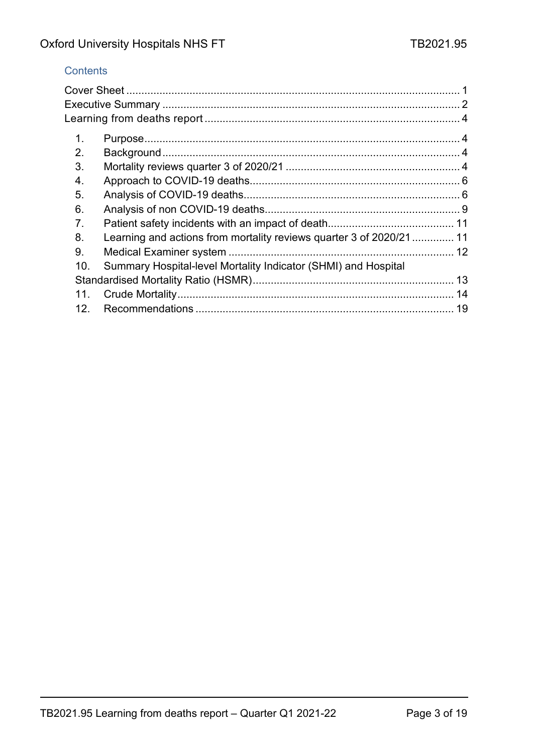## **Contents**

| 1.  |                                                                     |  |
|-----|---------------------------------------------------------------------|--|
| 2.  |                                                                     |  |
| 3.  |                                                                     |  |
| 4.  |                                                                     |  |
| 5.  |                                                                     |  |
| 6.  |                                                                     |  |
| 7.  |                                                                     |  |
| 8.  | Learning and actions from mortality reviews quarter 3 of 2020/21 11 |  |
| 9.  |                                                                     |  |
| 10. | Summary Hospital-level Mortality Indicator (SHMI) and Hospital      |  |
|     |                                                                     |  |
| 11. |                                                                     |  |
| 12. |                                                                     |  |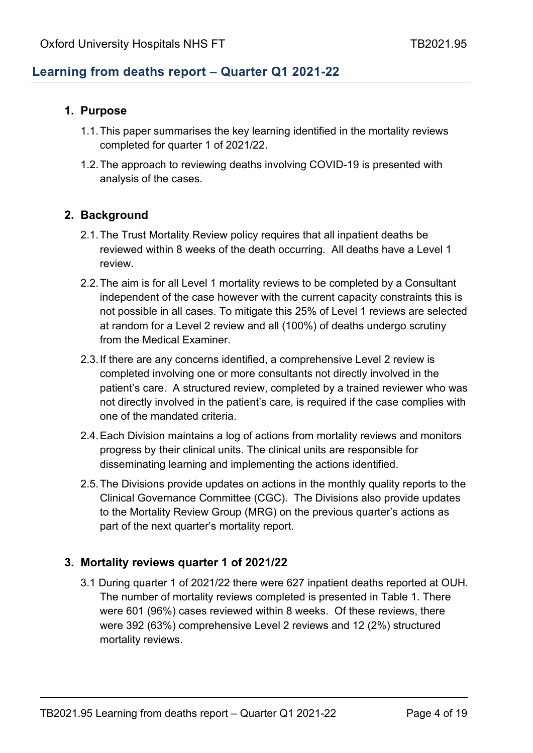# <span id="page-3-0"></span>**Learning from deaths report – Quarter Q1 2021-22**

## <span id="page-3-1"></span>**1. Purpose**

- 1.1.This paper summarises the key learning identified in the mortality reviews completed for quarter 1 of 2021/22.
- 1.2.The approach to reviewing deaths involving COVID-19 is presented with analysis of the cases.

## <span id="page-3-2"></span>**2. Background**

- 2.1.The Trust Mortality Review policy requires that all inpatient deaths be reviewed within 8 weeks of the death occurring. All deaths have a Level 1 review.
- 2.2.The aim is for all Level 1 mortality reviews to be completed by a Consultant independent of the case however with the current capacity constraints this is not possible in all cases. To mitigate this 25% of Level 1 reviews are selected at random for a Level 2 review and all (100%) of deaths undergo scrutiny from the Medical Examiner.
- 2.3.If there are any concerns identified, a comprehensive Level 2 review is completed involving one or more consultants not directly involved in the patient's care. A structured review, completed by a trained reviewer who was not directly involved in the patient's care, is required if the case complies with one of the mandated criteria.
- 2.4.Each Division maintains a log of actions from mortality reviews and monitors progress by their clinical units. The clinical units are responsible for disseminating learning and implementing the actions identified.
- 2.5.The Divisions provide updates on actions in the monthly quality reports to the Clinical Governance Committee (CGC). The Divisions also provide updates to the Mortality Review Group (MRG) on the previous quarter's actions as part of the next quarter's mortality report.

### <span id="page-3-3"></span>**3. Mortality reviews quarter 1 of 2021/22**

3.1 During quarter 1 of 2021/22 there were 627 inpatient deaths reported at OUH. The number of mortality reviews completed is presented in Table 1. There were 601 (96%) cases reviewed within 8 weeks. Of these reviews, there were 392 (63%) comprehensive Level 2 reviews and 12 (2%) structured mortality reviews.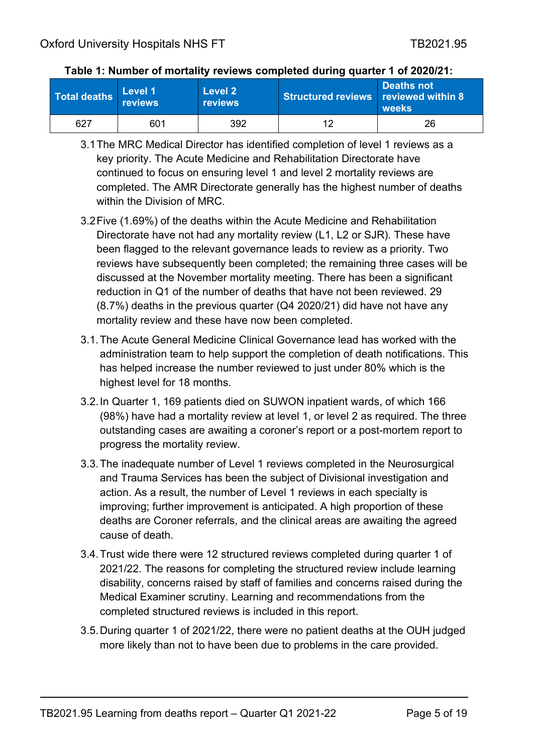|     | Level 1<br><b>Total deaths</b> reviews | <b>Level 2</b><br><b>reviews</b> | Structured reviews reviewed within 8 | Deaths not<br>weeks |  |  |
|-----|----------------------------------------|----------------------------------|--------------------------------------|---------------------|--|--|
| 627 | 601                                    | 392                              | 12                                   | 26                  |  |  |

#### **Table 1: Number of mortality reviews completed during quarter 1 of 2020/21:**

- 3.1The MRC Medical Director has identified completion of level 1 reviews as a key priority. The Acute Medicine and Rehabilitation Directorate have continued to focus on ensuring level 1 and level 2 mortality reviews are completed. The AMR Directorate generally has the highest number of deaths within the Division of MRC.
- 3.2Five (1.69%) of the deaths within the Acute Medicine and Rehabilitation Directorate have not had any mortality review (L1, L2 or SJR). These have been flagged to the relevant governance leads to review as a priority. Two reviews have subsequently been completed; the remaining three cases will be discussed at the November mortality meeting. There has been a significant reduction in Q1 of the number of deaths that have not been reviewed. 29 (8.7%) deaths in the previous quarter (Q4 2020/21) did have not have any mortality review and these have now been completed.
- 3.1.The Acute General Medicine Clinical Governance lead has worked with the administration team to help support the completion of death notifications. This has helped increase the number reviewed to just under 80% which is the highest level for 18 months.
- 3.2.In Quarter 1, 169 patients died on SUWON inpatient wards, of which 166 (98%) have had a mortality review at level 1, or level 2 as required. The three outstanding cases are awaiting a coroner's report or a post-mortem report to progress the mortality review.
- 3.3.The inadequate number of Level 1 reviews completed in the Neurosurgical and Trauma Services has been the subject of Divisional investigation and action. As a result, the number of Level 1 reviews in each specialty is improving; further improvement is anticipated. A high proportion of these deaths are Coroner referrals, and the clinical areas are awaiting the agreed cause of death.
- 3.4.Trust wide there were 12 structured reviews completed during quarter 1 of 2021/22. The reasons for completing the structured review include learning disability, concerns raised by staff of families and concerns raised during the Medical Examiner scrutiny. Learning and recommendations from the completed structured reviews is included in this report.
- 3.5.During quarter 1 of 2021/22, there were no patient deaths at the OUH judged more likely than not to have been due to problems in the care provided.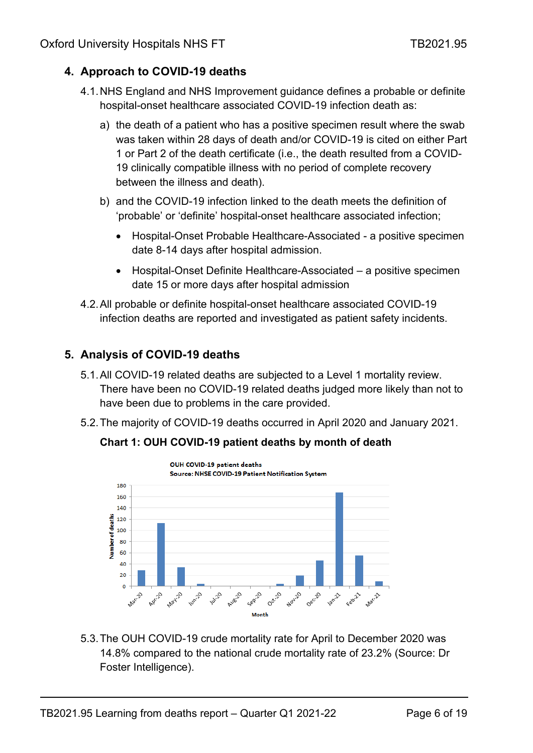# <span id="page-5-0"></span>**4. Approach to COVID-19 deaths**

- 4.1.NHS England and NHS Improvement guidance defines a probable or definite hospital-onset healthcare associated COVID-19 infection death as:
	- a) the death of a patient who has a positive specimen result where the swab was taken within 28 days of death and/or COVID-19 is cited on either Part 1 or Part 2 of the death certificate (i.e., the death resulted from a COVID-19 clinically compatible illness with no period of complete recovery between the illness and death).
	- b) and the COVID-19 infection linked to the death meets the definition of 'probable' or 'definite' hospital-onset healthcare associated infection;
		- Hospital-Onset Probable Healthcare-Associated a positive specimen date 8-14 days after hospital admission.
		- Hospital-Onset Definite Healthcare-Associated a positive specimen date 15 or more days after hospital admission
- 4.2.All probable or definite hospital-onset healthcare associated COVID-19 infection deaths are reported and investigated as patient safety incidents.

## <span id="page-5-1"></span>**5. Analysis of COVID-19 deaths**

- 5.1.All COVID-19 related deaths are subjected to a Level 1 mortality review. There have been no COVID-19 related deaths judged more likely than not to have been due to problems in the care provided.
- 5.2.The majority of COVID-19 deaths occurred in April 2020 and January 2021.





5.3.The OUH COVID-19 crude mortality rate for April to December 2020 was 14.8% compared to the national crude mortality rate of 23.2% (Source: Dr Foster Intelligence).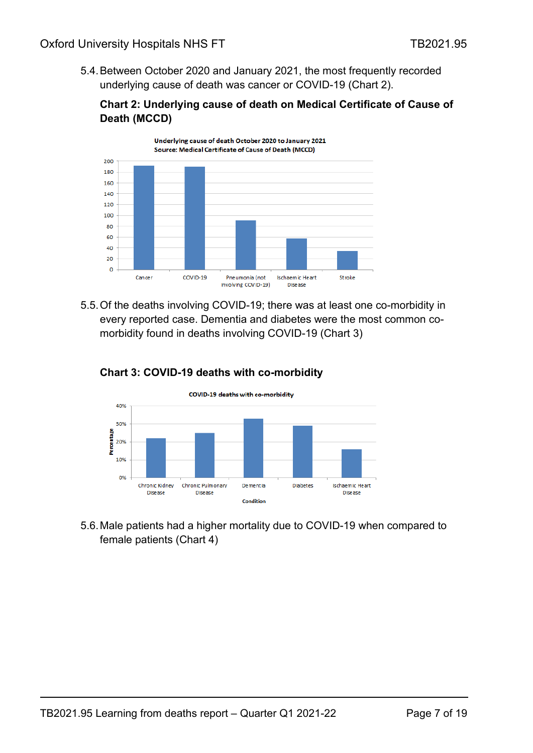5.4.Between October 2020 and January 2021, the most frequently recorded underlying cause of death was cancer or COVID-19 (Chart 2).

### **Chart 2: Underlying cause of death on Medical Certificate of Cause of Death (MCCD)**



5.5.Of the deaths involving COVID-19; there was at least one co-morbidity in every reported case. Dementia and diabetes were the most common comorbidity found in deaths involving COVID-19 (Chart 3)



### **Chart 3: COVID-19 deaths with co-morbidity**

5.6.Male patients had a higher mortality due to COVID-19 when compared to female patients (Chart 4)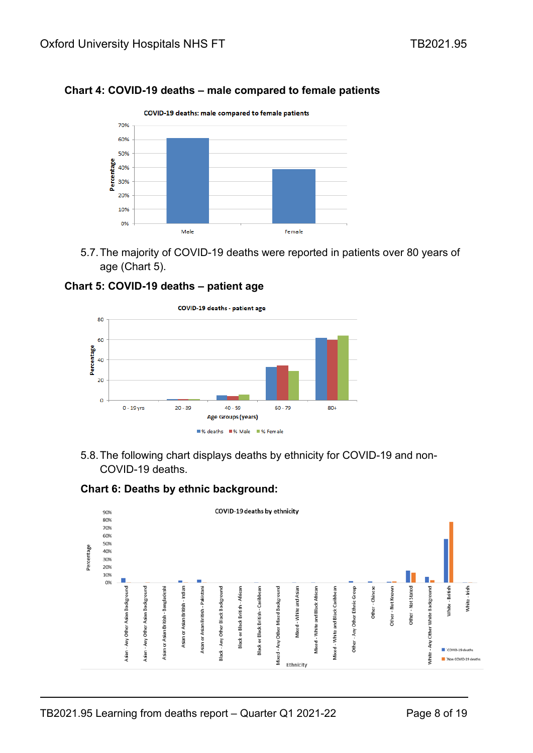### **Chart 4: COVID-19 deaths – male compared to female patients**



5.7.The majority of COVID-19 deaths were reported in patients over 80 years of age (Chart 5).





5.8.The following chart displays deaths by ethnicity for COVID-19 and non-COVID-19 deaths.

#### **Chart 6: Deaths by ethnic background:**

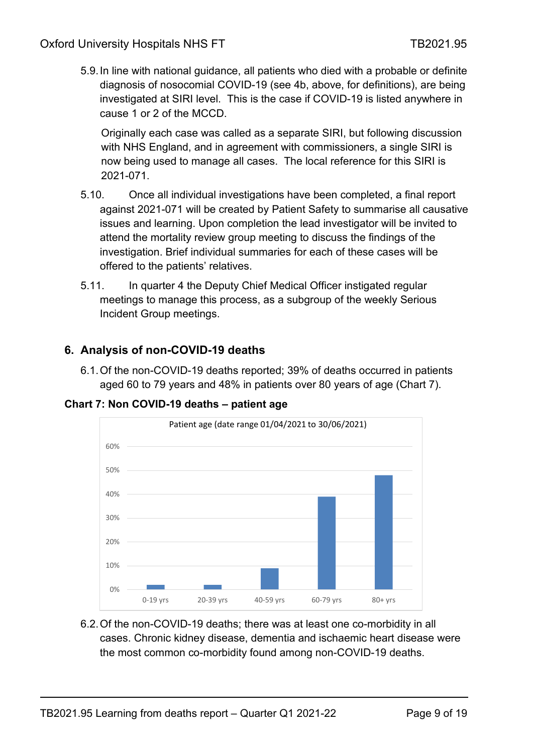5.9.In line with national guidance, all patients who died with a probable or definite diagnosis of nosocomial COVID-19 (see 4b, above, for definitions), are being investigated at SIRI level. This is the case if COVID-19 is listed anywhere in cause 1 or 2 of the MCCD.

Originally each case was called as a separate SIRI, but following discussion with NHS England, and in agreement with commissioners, a single SIRI is now being used to manage all cases. The local reference for this SIRI is 2021-071.

- 5.10. Once all individual investigations have been completed, a final report against 2021-071 will be created by Patient Safety to summarise all causative issues and learning. Upon completion the lead investigator will be invited to attend the mortality review group meeting to discuss the findings of the investigation. Brief individual summaries for each of these cases will be offered to the patients' relatives.
- 5.11. In quarter 4 the Deputy Chief Medical Officer instigated regular meetings to manage this process, as a subgroup of the weekly Serious Incident Group meetings.

## <span id="page-8-0"></span>**6. Analysis of non-COVID-19 deaths**

6.1.Of the non-COVID-19 deaths reported; 39% of deaths occurred in patients aged 60 to 79 years and 48% in patients over 80 years of age (Chart 7).

**Chart 7: Non COVID-19 deaths – patient age**



6.2.Of the non-COVID-19 deaths; there was at least one co-morbidity in all cases. Chronic kidney disease, dementia and ischaemic heart disease were the most common co-morbidity found among non-COVID-19 deaths.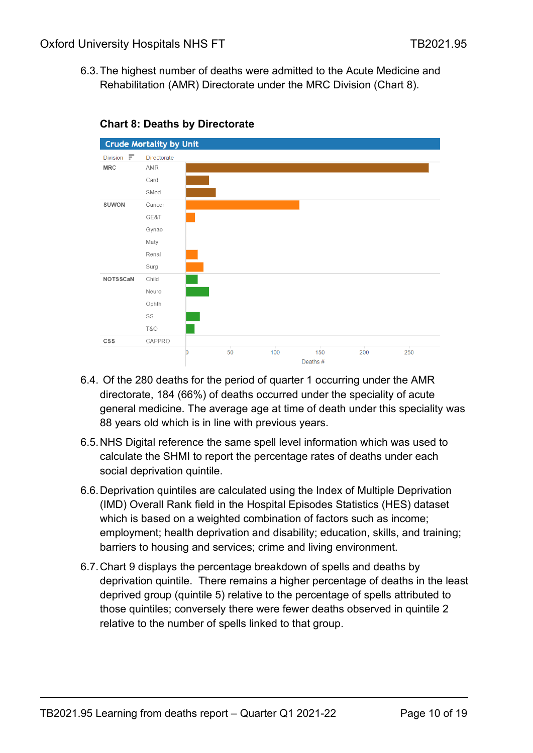6.3.The highest number of deaths were admitted to the Acute Medicine and Rehabilitation (AMR) Directorate under the MRC Division (Chart 8).



#### **Chart 8: Deaths by Directorate**

- 6.4. Of the 280 deaths for the period of quarter 1 occurring under the AMR directorate, 184 (66%) of deaths occurred under the speciality of acute general medicine. The average age at time of death under this speciality was 88 years old which is in line with previous years.
- 6.5.NHS Digital reference the same spell level information which was used to calculate the SHMI to report the percentage rates of deaths under each social deprivation quintile.
- 6.6.Deprivation quintiles are calculated using the Index of Multiple Deprivation (IMD) Overall Rank field in the Hospital Episodes Statistics (HES) dataset which is based on a weighted combination of factors such as income; employment; health deprivation and disability; education, skills, and training; barriers to housing and services; crime and living environment.
- 6.7.Chart 9 displays the percentage breakdown of spells and deaths by deprivation quintile. There remains a higher percentage of deaths in the least deprived group (quintile 5) relative to the percentage of spells attributed to those quintiles; conversely there were fewer deaths observed in quintile 2 relative to the number of spells linked to that group.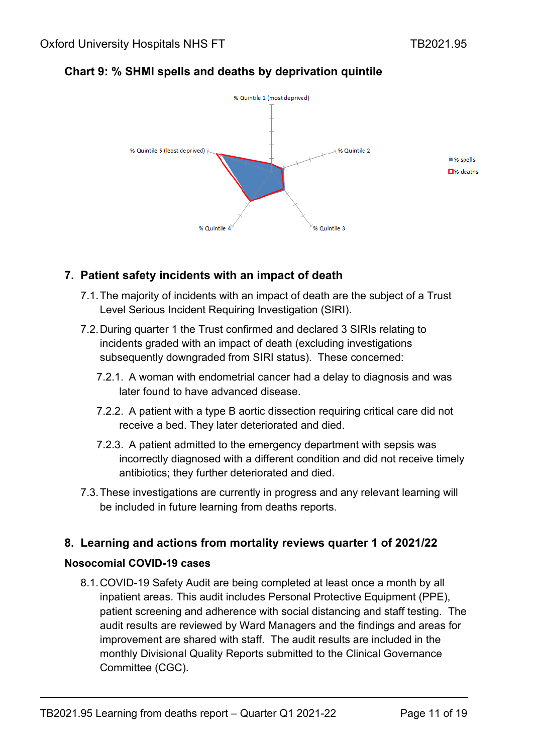

# **Chart 9: % SHMI spells and deaths by deprivation quintile**

# <span id="page-10-0"></span>**7. Patient safety incidents with an impact of death**

- 7.1.The majority of incidents with an impact of death are the subject of a Trust Level Serious Incident Requiring Investigation (SIRI).
- 7.2.During quarter 1 the Trust confirmed and declared 3 SIRIs relating to incidents graded with an impact of death (excluding investigations subsequently downgraded from SIRI status). These concerned:
	- 7.2.1. A woman with endometrial cancer had a delay to diagnosis and was later found to have advanced disease.
	- 7.2.2. A patient with a type B aortic dissection requiring critical care did not receive a bed. They later deteriorated and died.
	- 7.2.3. A patient admitted to the emergency department with sepsis was incorrectly diagnosed with a different condition and did not receive timely antibiotics; they further deteriorated and died.
- 7.3.These investigations are currently in progress and any relevant learning will be included in future learning from deaths reports.

# <span id="page-10-1"></span>**8. Learning and actions from mortality reviews quarter 1 of 2021/22**

## **Nosocomial COVID-19 cases**

8.1.COVID-19 Safety Audit are being completed at least once a month by all inpatient areas. This audit includes Personal Protective Equipment (PPE), patient screening and adherence with social distancing and staff testing. The audit results are reviewed by Ward Managers and the findings and areas for improvement are shared with staff. The audit results are included in the monthly Divisional Quality Reports submitted to the Clinical Governance Committee (CGC).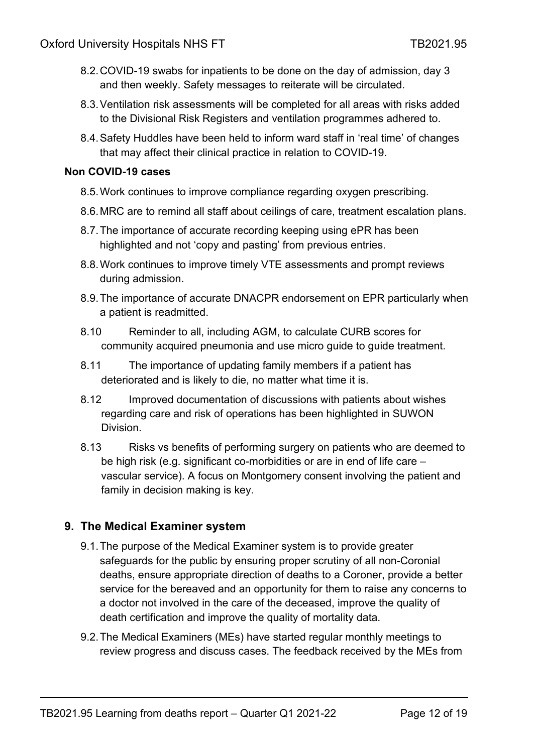- 8.2.COVID-19 swabs for inpatients to be done on the day of admission, day 3 and then weekly. Safety messages to reiterate will be circulated.
- 8.3.Ventilation risk assessments will be completed for all areas with risks added to the Divisional Risk Registers and ventilation programmes adhered to.
- 8.4.Safety Huddles have been held to inform ward staff in 'real time' of changes that may affect their clinical practice in relation to COVID-19.

### **Non COVID-19 cases**

- 8.5. Work continues to improve compliance regarding oxygen prescribing.
- 8.6.MRC are to remind all staff about ceilings of care, treatment escalation plans.
- 8.7.The importance of accurate recording keeping using ePR has been highlighted and not 'copy and pasting' from previous entries.
- 8.8.Work continues to improve timely VTE assessments and prompt reviews during admission.
- 8.9.The importance of accurate DNACPR endorsement on EPR particularly when a patient is readmitted.
- 8.10 Reminder to all, including AGM, to calculate CURB scores for community acquired pneumonia and use micro guide to guide treatment.
- 8.11 The importance of updating family members if a patient has deteriorated and is likely to die, no matter what time it is.
- 8.12 Improved documentation of discussions with patients about wishes regarding care and risk of operations has been highlighted in SUWON Division.
- 8.13 Risks vs benefits of performing surgery on patients who are deemed to be high risk (e.g. significant co-morbidities or are in end of life care – vascular service). A focus on Montgomery consent involving the patient and family in decision making is key.

# <span id="page-11-0"></span>**9. The Medical Examiner system**

- 9.1.The purpose of the Medical Examiner system is to provide greater safeguards for the public by ensuring proper scrutiny of all non-Coronial deaths, ensure appropriate direction of deaths to a Coroner, provide a better service for the bereaved and an opportunity for them to raise any concerns to a doctor not involved in the care of the deceased, improve the quality of death certification and improve the quality of mortality data.
- 9.2.The Medical Examiners (MEs) have started regular monthly meetings to review progress and discuss cases. The feedback received by the MEs from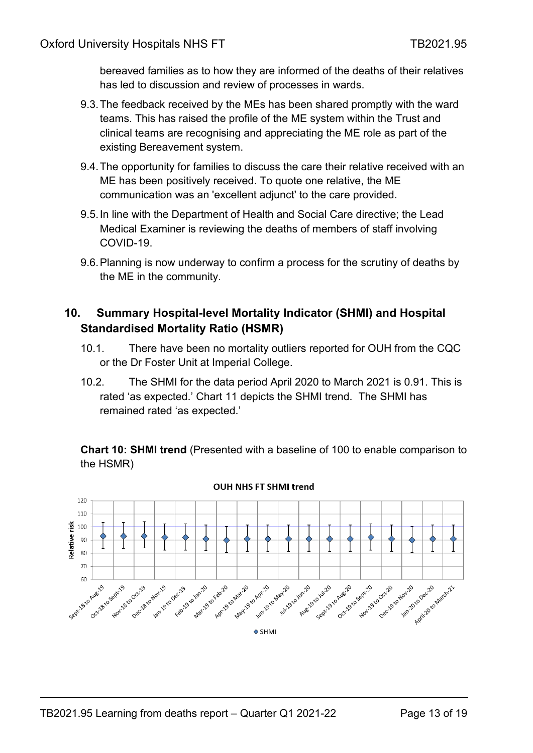bereaved families as to how they are informed of the deaths of their relatives has led to discussion and review of processes in wards.

- 9.3.The feedback received by the MEs has been shared promptly with the ward teams. This has raised the profile of the ME system within the Trust and clinical teams are recognising and appreciating the ME role as part of the existing Bereavement system.
- 9.4.The opportunity for families to discuss the care their relative received with an ME has been positively received. To quote one relative, the ME communication was an 'excellent adjunct' to the care provided.
- 9.5.In line with the Department of Health and Social Care directive; the Lead Medical Examiner is reviewing the deaths of members of staff involving COVID-19.
- 9.6.Planning is now underway to confirm a process for the scrutiny of deaths by the ME in the community.

# <span id="page-12-0"></span>**10. Summary Hospital-level Mortality Indicator (SHMI) and Hospital Standardised Mortality Ratio (HSMR)**

- 10.1. There have been no mortality outliers reported for OUH from the CQC or the Dr Foster Unit at Imperial College.
- 10.2. The SHMI for the data period April 2020 to March 2021 is 0.91. This is rated 'as expected.' Chart 11 depicts the SHMI trend. The SHMI has remained rated 'as expected.'

**Chart 10: SHMI trend** (Presented with a baseline of 100 to enable comparison to the HSMR)



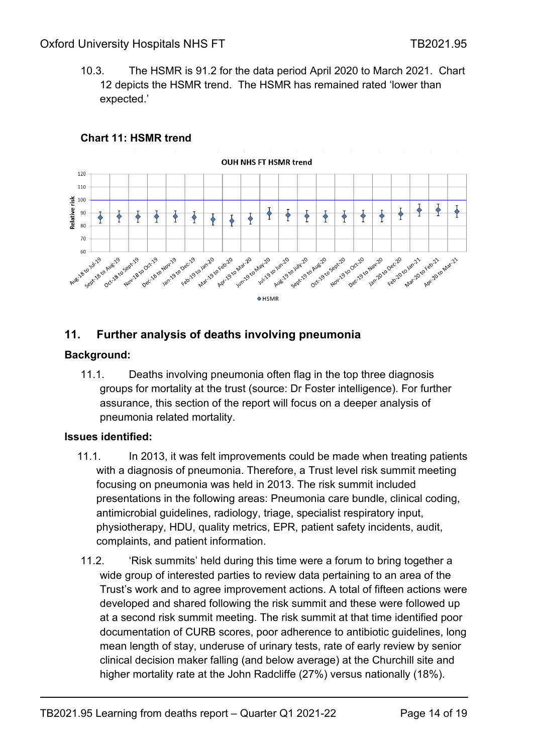10.3. The HSMR is 91.2 for the data period April 2020 to March 2021. Chart 12 depicts the HSMR trend. The HSMR has remained rated 'lower than expected.'



#### **Chart 11: HSMR trend**

## <span id="page-13-0"></span>**11. Further analysis of deaths involving pneumonia**

#### **Background:**

11.1. Deaths involving pneumonia often flag in the top three diagnosis groups for mortality at the trust (source: Dr Foster intelligence). For further assurance, this section of the report will focus on a deeper analysis of pneumonia related mortality.

### **Issues identified:**

- 11.1. In 2013, it was felt improvements could be made when treating patients with a diagnosis of pneumonia. Therefore, a Trust level risk summit meeting focusing on pneumonia was held in 2013. The risk summit included presentations in the following areas: Pneumonia care bundle, clinical coding, antimicrobial guidelines, radiology, triage, specialist respiratory input, physiotherapy, HDU, quality metrics, EPR, patient safety incidents, audit, complaints, and patient information.
- 11.2. 'Risk summits' held during this time were a forum to bring together a wide group of interested parties to review data pertaining to an area of the Trust's work and to agree improvement actions. A total of fifteen actions were developed and shared following the risk summit and these were followed up at a second risk summit meeting. The risk summit at that time identified poor documentation of CURB scores, poor adherence to antibiotic guidelines, long mean length of stay, underuse of urinary tests, rate of early review by senior clinical decision maker falling (and below average) at the Churchill site and higher mortality rate at the John Radcliffe (27%) versus nationally (18%).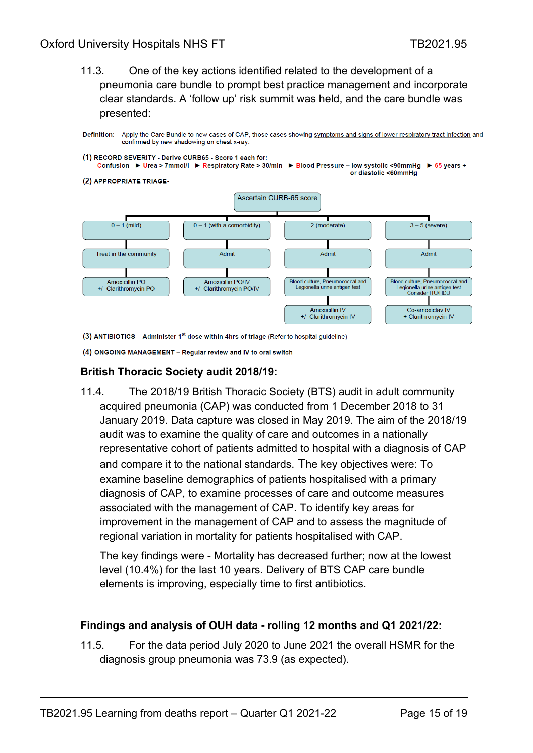### Oxford University Hospitals NHS FT THE THEORY TRESCALL THEORY TRESCALL THEORY TRESCALL THEORY TRESCALL THEORY TRESCALL THEORY TRESCALL THEORY TRESCALL THEORY TRESCALL THEORY TRESCALL THEORY TRESCALL THEORY TRESCALL THEORY

11.3. One of the key actions identified related to the development of a pneumonia care bundle to prompt best practice management and incorporate clear standards. A 'follow up' risk summit was held, and the care bundle was presented:



(3) ANTIBIOTICS - Administer 1<sup>st</sup> dose within 4hrs of triage (Refer to hospital guideline)

(4) ONGOING MANAGEMENT - Regular review and IV to oral switch

#### **British Thoracic Society audit 2018/19:**

11.4. The 2018/19 British Thoracic Society (BTS) audit in adult community acquired pneumonia (CAP) was conducted from 1 December 2018 to 31 January 2019. Data capture was closed in May 2019. The aim of the 2018/19 audit was to examine the quality of care and outcomes in a nationally representative cohort of patients admitted to hospital with a diagnosis of CAP and compare it to the national standards. The key objectives were: To examine baseline demographics of patients hospitalised with a primary diagnosis of CAP, to examine processes of care and outcome measures associated with the management of CAP. To identify key areas for improvement in the management of CAP and to assess the magnitude of regional variation in mortality for patients hospitalised with CAP.

The key findings were - Mortality has decreased further; now at the lowest level (10.4%) for the last 10 years. Delivery of BTS CAP care bundle elements is improving, especially time to first antibiotics.

#### **Findings and analysis of OUH data - rolling 12 months and Q1 2021/22:**

11.5. For the data period July 2020 to June 2021 the overall HSMR for the diagnosis group pneumonia was 73.9 (as expected).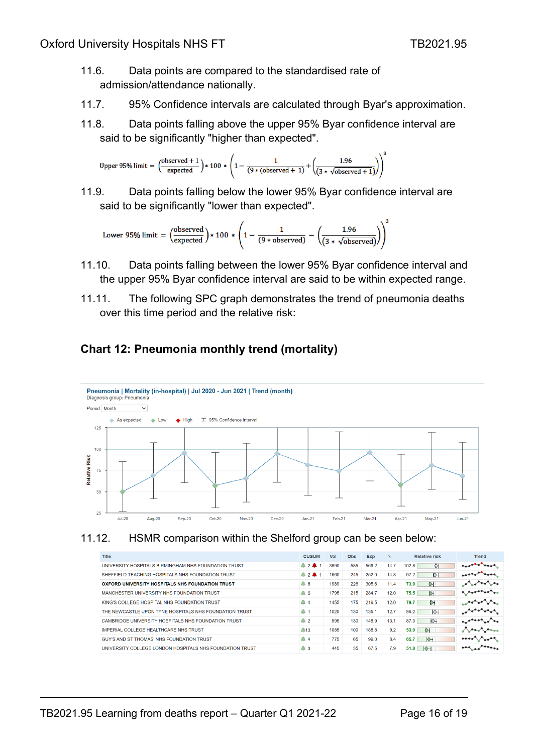- 11.6. Data points are compared to the standardised rate of admission/attendance nationally.
- 11.7. 95% Confidence intervals are calculated through Byar's approximation.
- 11.8. Data points falling above the upper 95% Byar confidence interval are said to be significantly "higher than expected".

Upper 95% limit = 
$$
\left(\frac{\text{observed} + 1}{\text{expected}}\right) * 100 * \left(1 - \frac{1}{(9 * (\text{observed} + 1)} + \left(\frac{1.96}{(3 * \sqrt{\text{observed} + 1})}\right)\right)^3
$$

11.9. Data points falling below the lower 95% Byar confidence interval are said to be significantly "lower than expected".

Lower 95% limit = 
$$
\left(\frac{\text{observed}}{\text{expected}}\right) * 100 * \left(1 - \frac{1}{(9 * \text{observed})} - \left(\frac{1.96}{(3 * \sqrt{\text{observed}})}\right)\right)^3
$$

- 11.10. Data points falling between the lower 95% Byar confidence interval and the upper 95% Byar confidence interval are said to be within expected range.
- 11.11. The following SPC graph demonstrates the trend of pneumonia deaths over this time period and the relative risk:

## **Chart 12: Pneumonia monthly trend (mortality)**





| <b>Title</b>                                             | <b>CUSUM</b>                         | Vol  | <b>Obs</b> | Exp   | $\frac{9}{6}$ | <b>Relative risk</b> | Trend                                  |
|----------------------------------------------------------|--------------------------------------|------|------------|-------|---------------|----------------------|----------------------------------------|
| UNIVERSITY HOSPITALS BIRMINGHAM NHS FOUNDATION TRUST     | 241                                  | 3990 | 585        | 569.2 | 14.7          | 102.8<br>Ő           | <b>Bankalon</b>                        |
| SHEFFIELD TEACHING HOSPITALS NHS FOUNDATION TRUST        | $\triangle$ 2 $\triangle$ 1          | 1660 | 245        | 252.0 | 14.8          | 97.2<br>$\circ$      | non-an                                 |
| OXFORD UNIVERSITY HOSPITALS NHS FOUNDATION TRUST         | $\triangle$ 6                        | 1989 | 226        | 305.6 | 11.4          | 73.9<br>$\bullet$    | بمراكبته والمراكب                      |
| MANCHESTER UNIVERSITY NHS FOUNDATION TRUST               | $\triangle$ 5                        | 1795 | 215        | 284.7 | 12.0          | $\circ$<br>75.5      | <b>A</b> , Agarragan <sub>do</sub>     |
| KING'S COLLEGE HOSPITAL NHS FOUNDATION TRUST             | $\triangle$ 4                        | 1455 | 175        | 219.5 | 12.0          | $\sim$<br>79.7       | بباراتها المواليونين                   |
| THE NEWCASTLE UPON TYNE HOSPITALS NHS FOUNDATION TRUST   | $^{\small \textsf{\tiny A}}$ 1       | 1020 | 130        | 135.1 | 12.7          | $\Diamond$<br>96.2   |                                        |
| CAMBRIDGE UNIVERSITY HOSPITALS NHS FOUNDATION TRUST      | $^{\tiny{\textcircled{\tiny{A}}}}$ 2 | 995  | 130        | 148.9 | 13.1          | $\Diamond$<br>87.3   | au <sup>phoon</sup> se <sup>2</sup> oo |
| <b>IMPERIAL COLLEGE HEALTHCARE NHS TRUST</b>             | $\triangle$ 13                       | 1085 | 100        | 188.8 | 9.2           | 53.0<br>♦            | <b>Architect</b>                       |
| GUY'S AND ST THOMAS' NHS FOUNDATION TRUST                | $^{\tiny{\textcircled{\tiny{A}}}}$ 4 | 775  | 65         | 99.0  | 8.4           | Ŷ<br>65.7            | sooon noon                             |
| UNIVERSITY COLLEGE LONDON HOSPITALS NHS FOUNDATION TRUST | $\triangle$ 3                        | 445  | 35         | 67.5  | 7.9           | 51.8<br>ЮН           | $\frac{1}{2}$                          |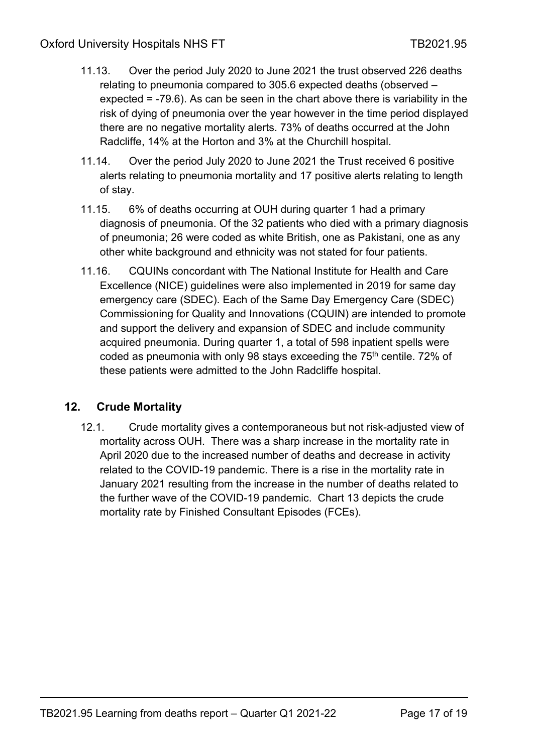- 11.13. Over the period July 2020 to June 2021 the trust observed 226 deaths relating to pneumonia compared to 305.6 expected deaths (observed – expected = -79.6). As can be seen in the chart above there is variability in the risk of dying of pneumonia over the year however in the time period displayed there are no negative mortality alerts. 73% of deaths occurred at the John Radcliffe, 14% at the Horton and 3% at the Churchill hospital.
- 11.14. Over the period July 2020 to June 2021 the Trust received 6 positive alerts relating to pneumonia mortality and 17 positive alerts relating to length of stay.
- 11.15. 6% of deaths occurring at OUH during quarter 1 had a primary diagnosis of pneumonia. Of the 32 patients who died with a primary diagnosis of pneumonia; 26 were coded as white British, one as Pakistani, one as any other white background and ethnicity was not stated for four patients.
- 11.16. CQUINs concordant with The National Institute for Health and Care Excellence (NICE) guidelines were also implemented in 2019 for same day emergency care (SDEC). Each of the Same Day Emergency Care (SDEC) Commissioning for Quality and Innovations (CQUIN) are intended to promote and support the delivery and expansion of SDEC and include community acquired pneumonia. During quarter 1, a total of 598 inpatient spells were coded as pneumonia with only 98 stays exceeding the  $75<sup>th</sup>$  centile. 72% of these patients were admitted to the John Radcliffe hospital.

# **12. Crude Mortality**

12.1. Crude mortality gives a contemporaneous but not risk-adjusted view of mortality across OUH. There was a sharp increase in the mortality rate in April 2020 due to the increased number of deaths and decrease in activity related to the COVID-19 pandemic. There is a rise in the mortality rate in January 2021 resulting from the increase in the number of deaths related to the further wave of the COVID-19 pandemic. Chart 13 depicts the crude mortality rate by Finished Consultant Episodes (FCEs).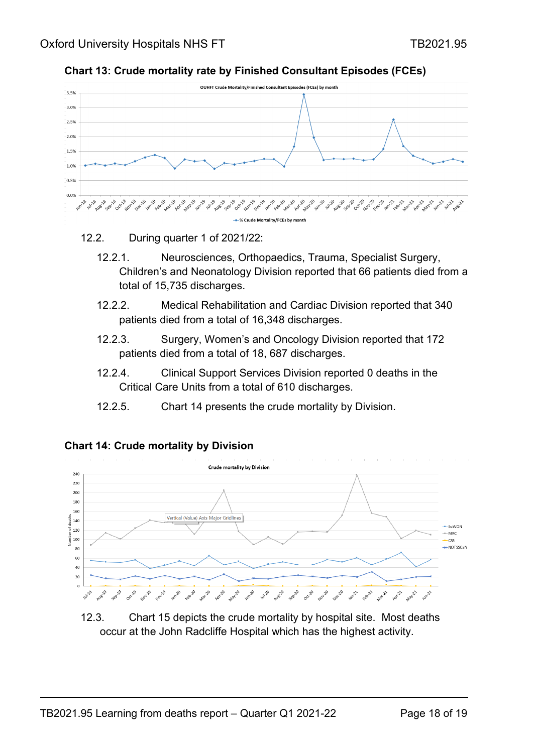



#### 12.2. During quarter 1 of 2021/22:

- 12.2.1. Neurosciences, Orthopaedics, Trauma, Specialist Surgery, Children's and Neonatology Division reported that 66 patients died from a total of 15,735 discharges.
- 12.2.2. Medical Rehabilitation and Cardiac Division reported that 340 patients died from a total of 16,348 discharges.
- 12.2.3. Surgery, Women's and Oncology Division reported that 172 patients died from a total of 18, 687 discharges.
- 12.2.4. Clinical Support Services Division reported 0 deaths in the Critical Care Units from a total of 610 discharges.
- 12.2.5. Chart 14 presents the crude mortality by Division.



### **Chart 14: Crude mortality by Division**

12.3. Chart 15 depicts the crude mortality by hospital site. Most deaths occur at the John Radcliffe Hospital which has the highest activity.